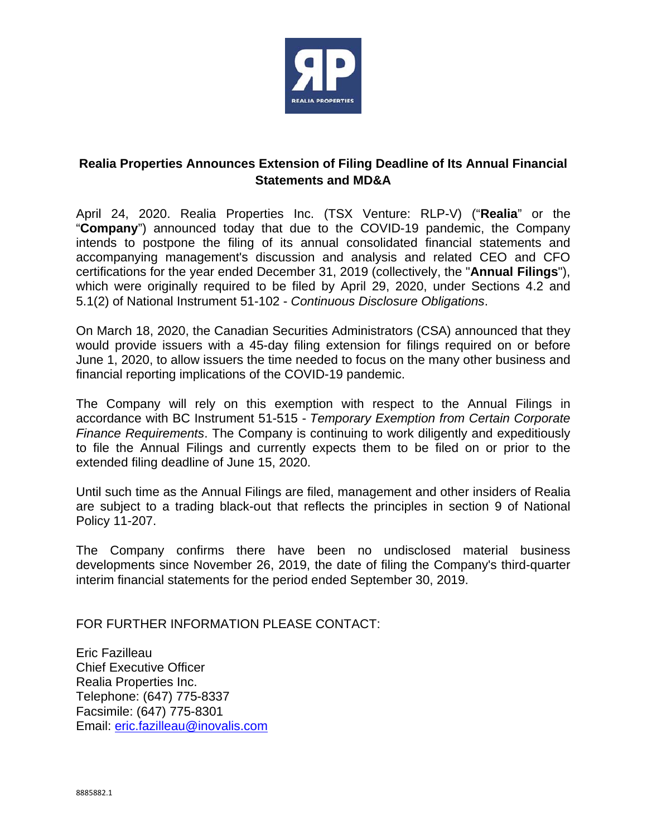

## **Realia Properties Announces Extension of Filing Deadline of Its Annual Financial Statements and MD&A**

April 24, 2020. Realia Properties Inc. (TSX Venture: RLP-V) ("**Realia**" or the "**Company**") announced today that due to the COVID-19 pandemic, the Company intends to postpone the filing of its annual consolidated financial statements and accompanying management's discussion and analysis and related CEO and CFO certifications for the year ended December 31, 2019 (collectively, the "**Annual Filings**"), which were originally required to be filed by April 29, 2020, under Sections 4.2 and 5.1(2) of National Instrument 51-102 - *Continuous Disclosure Obligations*.

On March 18, 2020, the Canadian Securities Administrators (CSA) announced that they would provide issuers with a 45-day filing extension for filings required on or before June 1, 2020, to allow issuers the time needed to focus on the many other business and financial reporting implications of the COVID-19 pandemic.

The Company will rely on this exemption with respect to the Annual Filings in accordance with BC Instrument 51-515 - *Temporary Exemption from Certain Corporate Finance Requirements*. The Company is continuing to work diligently and expeditiously to file the Annual Filings and currently expects them to be filed on or prior to the extended filing deadline of June 15, 2020.

Until such time as the Annual Filings are filed, management and other insiders of Realia are subject to a trading black-out that reflects the principles in section 9 of National Policy 11-207.

The Company confirms there have been no undisclosed material business developments since November 26, 2019, the date of filing the Company's third-quarter interim financial statements for the period ended September 30, 2019.

FOR FURTHER INFORMATION PLEASE CONTACT:

Eric Fazilleau Chief Executive Officer Realia Properties Inc. Telephone: (647) 775-8337 Facsimile: (647) 775-8301 Email: eric.fazilleau@inovalis.com